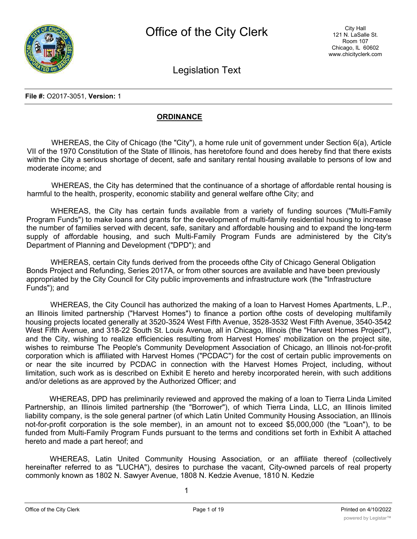

Legislation Text

**File #:** O2017-3051, **Version:** 1

# **ORDINANCE**

WHEREAS, the City of Chicago (the "City"), a home rule unit of government under Section 6(a), Article VII of the 1970 Constitution of the State of Illinois, has heretofore found and does hereby find that there exists within the City a serious shortage of decent, safe and sanitary rental housing available to persons of low and moderate income; and

WHEREAS, the City has determined that the continuance of a shortage of affordable rental housing is harmful to the health, prosperity, economic stability and general welfare ofthe City; and

WHEREAS, the City has certain funds available from a variety of funding sources ("Multi-Family Program Funds") to make loans and grants for the development of multi-family residential housing to increase the number of families served with decent, safe, sanitary and affordable housing and to expand the long-term supply of affordable housing, and such Multi-Family Program Funds are administered by the City's Department of Planning and Development ("DPD"); and

WHEREAS, certain City funds derived from the proceeds ofthe City of Chicago General Obligation Bonds Project and Refunding, Series 2017A, or from other sources are available and have been previously appropriated by the City Council for City public improvements and infrastructure work (the "Infrastructure Funds"); and

WHEREAS, the City Council has authorized the making of a loan to Harvest Homes Apartments, L.P., an Illinois limited partnership ("Harvest Homes") to finance a portion ofthe costs of developing multifamily housing projects located generally at 3520-3524 West Fifth Avenue, 3528-3532 West Fifth Avenue, 3540-3542 West Fifth Avenue, and 318-22 South St. Louis Avenue, all in Chicago, Illinois (the "Harvest Homes Project"), and the City, wishing to realize efficiencies resulting from Harvest Homes' mobilization on the project site, wishes to reimburse The People's Community Development Association of Chicago, an Illinois not-for-profit corporation which is affiliated with Harvest Homes ("PCDAC") for the cost of certain public improvements on or near the site incurred by PCDAC in connection with the Harvest Homes Project, including, without limitation, such work as is described on Exhibit E hereto and hereby incorporated herein, with such additions and/or deletions as are approved by the Authorized Officer; and

WHEREAS, DPD has preliminarily reviewed and approved the making of a loan to Tierra Linda Limited Partnership, an Illinois limited partnership (the "Borrower"), of which Tierra Linda, LLC, an Illinois limited liability company, is the sole general partner (of which Latin United Community Housing Association, an Illinois not-for-profit corporation is the sole member), in an amount not to exceed \$5,000,000 (the "Loan"), to be funded from Multi-Family Program Funds pursuant to the terms and conditions set forth in Exhibit A attached hereto and made a part hereof; and

WHEREAS, Latin United Community Housing Association, or an affiliate thereof (collectively hereinafter referred to as "LUCHA"), desires to purchase the vacant, City-owned parcels of real property commonly known as 1802 N. Sawyer Avenue, 1808 N. Kedzie Avenue, 1810 N. Kedzie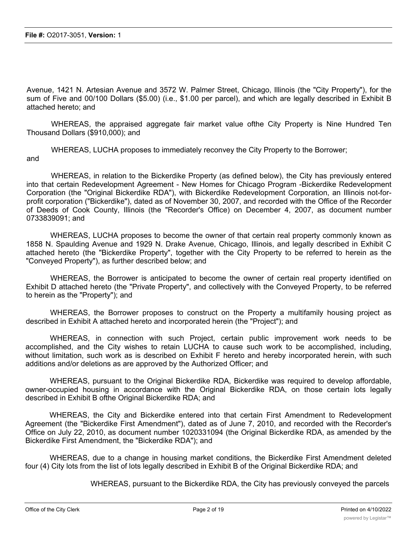Avenue, 1421 N. Artesian Avenue and 3572 W. Palmer Street, Chicago, Illinois (the "City Property"), for the sum of Five and 00/100 Dollars (\$5.00) (i.e., \$1.00 per parcel), and which are legally described in Exhibit B attached hereto; and

WHEREAS, the appraised aggregate fair market value ofthe City Property is Nine Hundred Ten Thousand Dollars (\$910,000); and

WHEREAS, LUCHA proposes to immediately reconvey the City Property to the Borrower; and

WHEREAS, in relation to the Bickerdike Property (as defined below), the City has previously entered into that certain Redevelopment Agreement - New Homes for Chicago Program -Bickerdike Redevelopment Corporation (the "Original Bickerdike RDA"), with Bickerdike Redevelopment Corporation, an Illinois not-forprofit corporation ("Bickerdike"), dated as of November 30, 2007, and recorded with the Office of the Recorder of Deeds of Cook County, Illinois (the "Recorder's Office) on December 4, 2007, as document number 0733839091; and

WHEREAS, LUCHA proposes to become the owner of that certain real property commonly known as 1858 N. Spaulding Avenue and 1929 N. Drake Avenue, Chicago, Illinois, and legally described in Exhibit C attached hereto (the "Bickerdike Property", together with the City Property to be referred to herein as the "Conveyed Property"), as further described below; and

WHEREAS, the Borrower is anticipated to become the owner of certain real property identified on Exhibit D attached hereto (the "Private Property", and collectively with the Conveyed Property, to be referred to herein as the "Property"); and

WHEREAS, the Borrower proposes to construct on the Property a multifamily housing project as described in Exhibit A attached hereto and incorporated herein (the "Project"); and

WHEREAS, in connection with such Project, certain public improvement work needs to be accomplished, and the City wishes to retain LUCHA to cause such work to be accomplished, including, without limitation, such work as is described on Exhibit F hereto and hereby incorporated herein, with such additions and/or deletions as are approved by the Authorized Officer; and

WHEREAS, pursuant to the Original Bickerdike RDA, Bickerdike was required to develop affordable, owner-occupied housing in accordance with the Original Bickerdike RDA, on those certain lots legally described in Exhibit B ofthe Original Bickerdike RDA; and

WHEREAS, the City and Bickerdike entered into that certain First Amendment to Redevelopment Agreement (the "Bickerdike First Amendment"), dated as of June 7, 2010, and recorded with the Recorder's Office on July 22, 2010, as document number 1020331094 (the Original Bickerdike RDA, as amended by the Bickerdike First Amendment, the "Bickerdike RDA"); and

WHEREAS, due to a change in housing market conditions, the Bickerdike First Amendment deleted four (4) City lots from the list of lots legally described in Exhibit B of the Original Bickerdike RDA; and

WHEREAS, pursuant to the Bickerdike RDA, the City has previously conveyed the parcels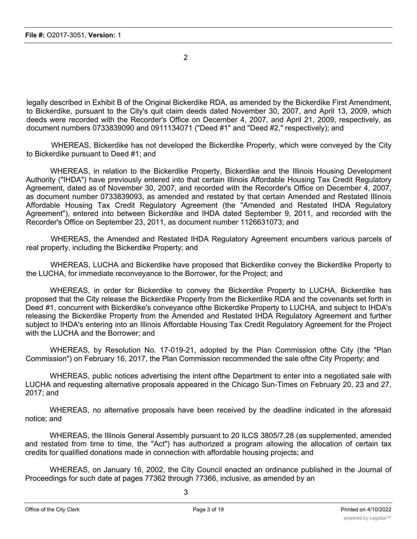2

legally described in Exhibit B of the Original Bickerdike RDA, as amended by the Bickerdike First Amendment, to Bickerdike, pursuant to the City's quit claim deeds dated November 30, 2007, and April 13, 2009, which deeds were recorded with the Recorder's Office on December 4, 2007, and April 21, 2009, respectively, as document numbers 0733839090 and 0911134071 ("Deed #1" and "Deed #2," respectively); and

WHEREAS, Bickerdike has not developed the Bickerdike Property, which were conveyed by the City to Bickerdike pursuant to Deed #1; and

WHEREAS, in relation to the Bickerdike Property, Bickerdike and the Illinois Housing Development Authority ("IHDA") have previously entered into that certain Illinois Affordable Housing Tax Credit Regulatory Agreement, dated as of November 30, 2007, and recorded with the Recorder's Office on December 4, 2007, as document number 0733839093, as amended and restated by that certain Amended and Restated Illinois Affordable Housing Tax Credit Regulatory Agreement (the "Amended and Restated IHDA Regulatory Agreement"), entered into between Bickerdike and IHDA dated September 9, 2011, and recorded with the Recorder's Office on September 23, 2011, as document number 1126631073; and

WHEREAS, the Amended and Restated IHDA Regulatory Agreement encumbers various parcels of real property, including the Bickerdike Property; and

WHEREAS, LUCHA and Bickerdike have proposed that Bickerdike convey the Bickerdike Property to the LUCHA, for immediate reconveyance to the Borrower, for the Project; and

WHEREAS, in order for Bickerdike to convey the Bickerdike Property to LUCHA, Bickerdike has proposed that the City release the Bickerdike Property from the Bickerdike RDA and the covenants set forth in Deed #1, concurrent with Bickerdike's conveyance ofthe Bickerdike Property to LUCHA, and subject to IHDA's releasing the Bickerdike Property from the Amended and Restated IHDA Regulatory Agreement and further subject to IHDA's entering into an Illinois Affordable Housing Tax Credit Regulatory Agreement for the Project with the LUCHA and the Borrower; and

WHEREAS, by Resolution No. 17-019-21, adopted by the Plan Commission ofthe City (the "Plan Commission") on February 16, 2017, the Plan Commission recommended the sale ofthe City Property; and

WHEREAS, public notices advertising the intent ofthe Department to enter into a negotiated sale with LUCHA and requesting alternative proposals appeared in the Chicago Sun-Times on February 20, 23 and 27, 2017; and

WHEREAS, no alternative proposals have been received by the deadline indicated in the aforesaid notice; and

WHEREAS, the Illinois General Assembly pursuant to 20 ILCS 3805/7.28 (as supplemented, amended and restated from time to time, the "Act") has authorized a program allowing the allocation of certain tax credits for qualified donations made in connection with affordable housing projects; and

WHEREAS, on January 16, 2002, the City Council enacted an ordinance published in the Journal of Proceedings for such date at pages 77362 through 77366, inclusive, as amended by an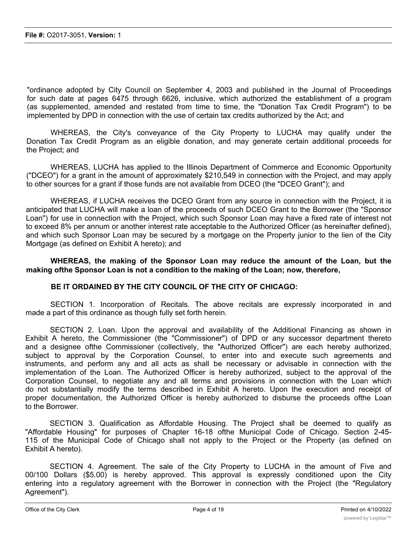"ordinance adopted by City Council on September 4, 2003 and published in the Journal of Proceedings for such date at pages 6475 through 6626, inclusive, which authorized the establishment of a program (as supplemented, amended and restated from time to time, the "Donation Tax Credit Program") to be implemented by DPD in connection with the use of certain tax credits authorized by the Act; and

WHEREAS, the City's conveyance of the City Property to LUCHA may qualify under the Donation Tax Credit Program as an eligible donation, and may generate certain additional proceeds for the Project; and

WHEREAS, LUCHA has applied to the Illinois Department of Commerce and Economic Opportunity ("DCEO") for a grant in the amount of approximately \$210,549 in connection with the Project, and may apply to other sources for a grant if those funds are not available from DCEO (the "DCEO Grant"); and

WHEREAS, if LUCHA receives the DCEO Grant from any source in connection with the Project, it is anticipated that LUCHA will make a loan of the proceeds of such DCEO Grant to the Borrower (the "Sponsor Loan") for use in connection with the Project, which such Sponsor Loan may have a fixed rate of interest not to exceed 8% per annum or another interest rate acceptable to the Authorized Officer (as hereinafter defined), and which such Sponsor Loan may be secured by a mortgage on the Property junior to the lien of the City Mortgage (as defined on Exhibit A hereto); and

**WHEREAS, the making of the Sponsor Loan may reduce the amount of the Loan, but the making ofthe Sponsor Loan is not a condition to the making of the Loan; now, therefore,**

# **BE IT ORDAINED BY THE CITY COUNCIL OF THE CITY OF CHICAGO:**

SECTION 1. Incorporation of Recitals. The above recitals are expressly incorporated in and made a part of this ordinance as though fully set forth herein.

SECTION 2. Loan. Upon the approval and availability of the Additional Financing as shown in Exhibit A hereto, the Commissioner (the "Commissioner") of DPD or any successor department thereto and a designee ofthe Commissioner (collectively, the "Authorized Officer") are each hereby authorized, subject to approval by the Corporation Counsel, to enter into and execute such agreements and instruments, and perform any and all acts as shall be necessary or advisable in connection with the implementation of the Loan. The Authorized Officer is hereby authorized, subject to the approval of the Corporation Counsel, to negotiate any and all terms and provisions in connection with the Loan which do not substantially modify the terms described in Exhibit A hereto. Upon the execution and receipt of proper documentation, the Authorized Officer is hereby authorized to disburse the proceeds ofthe Loan to the Borrower.

SECTION 3. Qualification as Affordable Housing. The Project shall be deemed to qualify as "Affordable Housing" for purposes of Chapter 16-18 ofthe Municipal Code of Chicago. Section 2-45- 115 of the Municipal Code of Chicago shall not apply to the Project or the Property (as defined on Exhibit A hereto).

SECTION 4. Agreement. The sale of the City Property to LUCHA in the amount of Five and 00/100 Dollars (\$5.00) is hereby approved. This approval is expressly conditioned upon the City entering into a regulatory agreement with the Borrower in connection with the Project (the "Regulatory Agreement").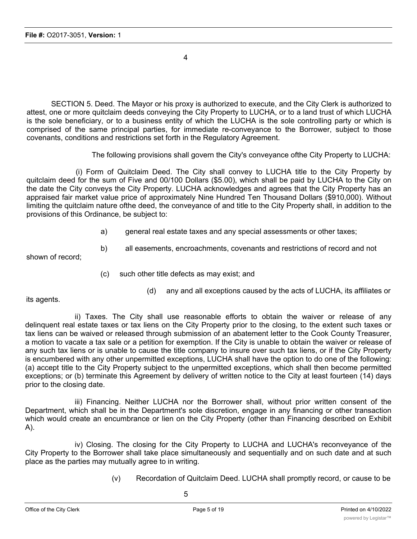4

SECTION 5. Deed. The Mayor or his proxy is authorized to execute, and the City Clerk is authorized to attest, one or more quitclaim deeds conveying the City Property to LUCHA, or to a land trust of which LUCHA is the sole beneficiary, or to a business entity of which the LUCHA is the sole controlling party or which is comprised of the same principal parties, for immediate re-conveyance to the Borrower, subject to those covenants, conditions and restrictions set forth in the Regulatory Agreement.

The following provisions shall govern the City's conveyance ofthe City Property to LUCHA:

(i) Form of Quitclaim Deed. The City shall convey to LUCHA title to the City Property by quitclaim deed for the sum of Five and 00/100 Dollars (\$5.00), which shall be paid by LUCHA to the City on the date the City conveys the City Property. LUCHA acknowledges and agrees that the City Property has an appraised fair market value price of approximately Nine Hundred Ten Thousand Dollars (\$910,000). Without limiting the quitclaim nature ofthe deed, the conveyance of and title to the City Property shall, in addition to the provisions of this Ordinance, be subject to:

- a) general real estate taxes and any special assessments or other taxes;
- b) all easements, encroachments, covenants and restrictions of record and not

shown of record;

- (c) such other title defects as may exist; and
	- (d) any and all exceptions caused by the acts of LUCHA, its affiliates or

its agents.

ii) Taxes. The City shall use reasonable efforts to obtain the waiver or release of any delinquent real estate taxes or tax liens on the City Property prior to the closing, to the extent such taxes or tax liens can be waived or released through submission of an abatement letter to the Cook County Treasurer, a motion to vacate a tax sale or a petition for exemption. If the City is unable to obtain the waiver or release of any such tax liens or is unable to cause the title company to insure over such tax liens, or if the City Property is encumbered with any other unpermitted exceptions, LUCHA shall have the option to do one of the following: (a) accept title to the City Property subject to the unpermitted exceptions, which shall then become permitted exceptions; or (b) terminate this Agreement by delivery of written notice to the City at least fourteen (14) days prior to the closing date.

iii) Financing. Neither LUCHA nor the Borrower shall, without prior written consent of the Department, which shall be in the Department's sole discretion, engage in any financing or other transaction which would create an encumbrance or lien on the City Property (other than Financing described on Exhibit A).

iv) Closing. The closing for the City Property to LUCHA and LUCHA's reconveyance of the City Property to the Borrower shall take place simultaneously and sequentially and on such date and at such place as the parties may mutually agree to in writing.

(v) Recordation of Quitclaim Deed. LUCHA shall promptly record, or cause to be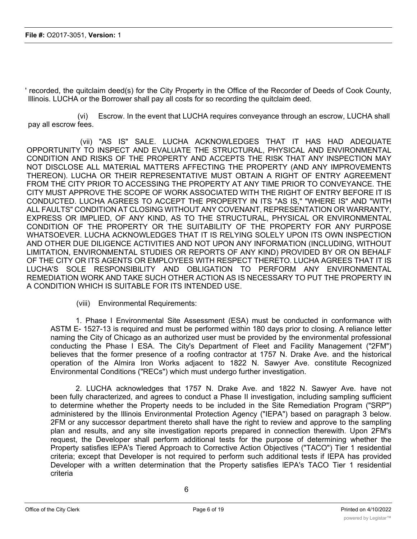' recorded, the quitclaim deed(s) for the City Property in the Office of the Recorder of Deeds of Cook County, Illinois. LUCHA or the Borrower shall pay all costs for so recording the quitclaim deed.

(vi) Escrow. In the event that LUCHA requires conveyance through an escrow, LUCHA shall pay all escrow fees.

(vii) "AS IS" SALE. LUCHA ACKNOWLEDGES THAT IT HAS HAD ADEQUATE OPPORTUNITY TO INSPECT AND EVALUATE THE STRUCTURAL, PHYSICAL AND ENVIRONMENTAL CONDITION AND RISKS OF THE PROPERTY AND ACCEPTS THE RISK THAT ANY INSPECTION MAY NOT DISCLOSE ALL MATERIAL MATTERS AFFECTING THE PROPERTY (AND ANY IMPROVEMENTS THEREON). LUCHA OR THEIR REPRESENTATIVE MUST OBTAIN A RIGHT OF ENTRY AGREEMENT FROM THE CITY PRIOR TO ACCESSING THE PROPERTY AT ANY TIME PRIOR TO CONVEYANCE. THE CITY MUST APPROVE THE SCOPE OF WORK ASSOCIATED WITH THE RIGHT OF ENTRY BEFORE IT IS CONDUCTED. LUCHA AGREES TO ACCEPT THE PROPERTY IN ITS "AS IS," "WHERE IS" AND "WITH ALL FAULTS" CONDITION AT CLOSING WITHOUT ANY COVENANT, REPRESENTATION OR WARRANTY, EXPRESS OR IMPLIED, OF ANY KIND, AS TO THE STRUCTURAL, PHYSICAL OR ENVIRONMENTAL CONDITION OF THE PROPERTY OR THE SUITABILITY OF THE PROPERTY FOR ANY PURPOSE WHATSOEVER. LUCHA ACKNOWLEDGES THAT IT IS RELYING SOLELY UPON ITS OWN INSPECTION AND OTHER DUE DILIGENCE ACTIVITIES AND NOT UPON ANY INFORMATION (INCLUDING, WITHOUT LIMITATION, ENVIRONMENTAL STUDIES OR REPORTS OF ANY KIND) PROVIDED BY OR ON BEHALF OF THE CITY OR ITS AGENTS OR EMPLOYEES WITH RESPECT THERETO. LUCHA AGREES THAT IT IS LUCHA'S SOLE RESPONSIBILITY AND OBLIGATION TO PERFORM ANY ENVIRONMENTAL REMEDIATION WORK AND TAKE SUCH OTHER ACTION AS IS NECESSARY TO PUT THE PROPERTY IN A CONDITION WHICH IS SUITABLE FOR ITS INTENDED USE.

(viii) Environmental Requirements:

1. Phase I Environmental Site Assessment (ESA) must be conducted in conformance with ASTM E- 1527-13 is required and must be performed within 180 days prior to closing. A reliance letter naming the City of Chicago as an authorized user must be provided by the environmental professional conducting the Phase I ESA. The City's Department of Fleet and Facility Management ("2FM") believes that the former presence of a roofing contractor at 1757 N. Drake Ave. and the historical operation of the Almira Iron Works adjacent to 1822 N. Sawyer Ave. constitute Recognized Environmental Conditions ("RECs") which must undergo further investigation.

2. LUCHA acknowledges that 1757 N. Drake Ave. and 1822 N. Sawyer Ave. have not been fully characterized, and agrees to conduct a Phase II investigation, including sampling sufficient to determine whether the Property needs to be included in the Site Remediation Program ("SRP") administered by the Illinois Environmental Protection Agency ("IEPA") based on paragraph 3 below. 2FM or any successor department thereto shall have the right to review and approve to the sampling plan and results, and any site investigation reports prepared in connection therewith. Upon 2FM's request, the Developer shall perform additional tests for the purpose of determining whether the Property satisfies lEPA's Tiered Approach to Corrective Action Objectives ("TACO") Tier 1 residential criteria; except that Developer is not required to perform such additional tests if IEPA has provided Developer with a written determination that the Property satisfies lEPA's TACO Tier 1 residential criteria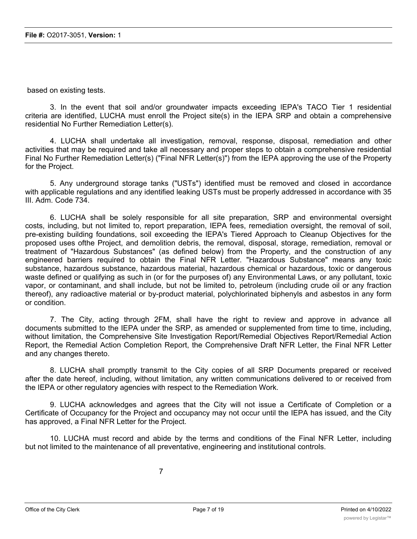based on existing tests.

3. In the event that soil and/or groundwater impacts exceeding lEPA's TACO Tier 1 residential criteria are identified, LUCHA must enroll the Project site(s) in the IEPA SRP and obtain a comprehensive residential No Further Remediation Letter(s).

4. LUCHA shall undertake all investigation, removal, response, disposal, remediation and other activities that may be required and take all necessary and proper steps to obtain a comprehensive residential Final No Further Remediation Letter(s) ("Final NFR Letter(s)") from the IEPA approving the use of the Property for the Project.

5. Any underground storage tanks ("USTs") identified must be removed and closed in accordance with applicable regulations and any identified leaking USTs must be properly addressed in accordance with 35 III. Adm. Code 734.

6. LUCHA shall be solely responsible for all site preparation, SRP and environmental oversight costs, including, but not limited to, report preparation, IEPA fees, remediation oversight, the removal of soil, pre-existing building foundations, soil exceeding the lEPA's Tiered Approach to Cleanup Objectives for the proposed uses ofthe Project, and demolition debris, the removal, disposal, storage, remediation, removal or treatment of "Hazardous Substances" (as defined below) from the Property, and the construction of any engineered barriers required to obtain the Final NFR Letter. "Hazardous Substance" means any toxic substance, hazardous substance, hazardous material, hazardous chemical or hazardous, toxic or dangerous waste defined or qualifying as such in (or for the purposes of) any Environmental Laws, or any pollutant, toxic vapor, or contaminant, and shall include, but not be limited to, petroleum (including crude oil or any fraction thereof), any radioactive material or by-product material, polychlorinated biphenyls and asbestos in any form or condition.

7. The City, acting through 2FM, shall have the right to review and approve in advance all documents submitted to the IEPA under the SRP, as amended or supplemented from time to time, including, without limitation, the Comprehensive Site Investigation Report/Remedial Objectives Report/Remedial Action Report, the Remedial Action Completion Report, the Comprehensive Draft NFR Letter, the Final NFR Letter and any changes thereto.

8. LUCHA shall promptly transmit to the City copies of all SRP Documents prepared or received after the date hereof, including, without limitation, any written communications delivered to or received from the IEPA or other regulatory agencies with respect to the Remediation Work.

9. LUCHA acknowledges and agrees that the City will not issue a Certificate of Completion or a Certificate of Occupancy for the Project and occupancy may not occur until the IEPA has issued, and the City has approved, a Final NFR Letter for the Project.

10. LUCHA must record and abide by the terms and conditions of the Final NFR Letter, including but not limited to the maintenance of all preventative, engineering and institutional controls.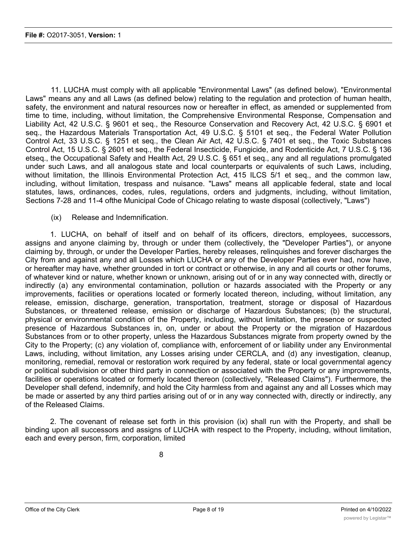11. LUCHA must comply with all applicable "Environmental Laws" (as defined below). "Environmental Laws" means any and all Laws (as defined below) relating to the regulation and protection of human health, safety, the environment and natural resources now or hereafter in effect, as amended or supplemented from time to time, including, without limitation, the Comprehensive Environmental Response, Compensation and Liability Act, 42 U.S.C. § 9601 et seq., the Resource Conservation and Recovery Act, 42 U.S.C. § 6901 et seq., the Hazardous Materials Transportation Act, 49 U.S.C. § 5101 et seq., the Federal Water Pollution Control Act, 33 U.S.C. § 1251 et seq., the Clean Air Act, 42 U.S.C. § 7401 et seq., the Toxic Substances Control Act, 15 U.S.C. § 2601 et seq., the Federal Insecticide, Fungicide, and Rodenticide Act, 7 U.S.C. § 136 etseq., the Occupational Safety and Health Act, 29 U.S.C. § 651 et seq., any and all regulations promulgated under such Laws, and all analogous state and local counterparts or equivalents of such Laws, including, without limitation, the Illinois Environmental Protection Act, 415 ILCS 5/1 et seq., and the common law, including, without limitation, trespass and nuisance. "Laws" means all applicable federal, state and local statutes, laws, ordinances, codes, rules, regulations, orders and judgments, including, without limitation, Sections 7-28 and 11-4 ofthe Municipal Code of Chicago relating to waste disposal (collectively, "Laws")

(ix) Release and Indemnification.

1. LUCHA, on behalf of itself and on behalf of its officers, directors, employees, successors, assigns and anyone claiming by, through or under them (collectively, the "Developer Parties"), or anyone claiming by, through, or under the Developer Parties, hereby releases, relinquishes and forever discharges the City from and against any and all Losses which LUCHA or any of the Developer Parties ever had, now have, or hereafter may have, whether grounded in tort or contract or otherwise, in any and all courts or other forums, of whatever kind or nature, whether known or unknown, arising out of or in any way connected with, directly or indirectly (a) any environmental contamination, pollution or hazards associated with the Property or any improvements, facilities or operations located or formerly located thereon, including, without limitation, any release, emission, discharge, generation, transportation, treatment, storage or disposal of Hazardous Substances, or threatened release, emission or discharge of Hazardous Substances; (b) the structural, physical or environmental condition of the Property, including, without limitation, the presence or suspected presence of Hazardous Substances in, on, under or about the Property or the migration of Hazardous Substances from or to other property, unless the Hazardous Substances migrate from property owned by the City to the Property; (c) any violation of, compliance with, enforcement of or liability under any Environmental Laws, including, without limitation, any Losses arising under CERCLA, and (d) any investigation, cleanup, monitoring, remedial, removal or restoration work required by any federal, state or local governmental agency or political subdivision or other third party in connection or associated with the Property or any improvements, facilities or operations located or formerly located thereon (collectively, "Released Claims"). Furthermore, the Developer shall defend, indemnify, and hold the City harmless from and against any and all Losses which may be made or asserted by any third parties arising out of or in any way connected with, directly or indirectly, any of the Released Claims.

2. The covenant of release set forth in this provision (ix) shall run with the Property, and shall be binding upon all successors and assigns of LUCHA with respect to the Property, including, without limitation, each and every person, firm, corporation, limited

liability company, trust or other entity owning, leasing, occupying, using or possessing any portion of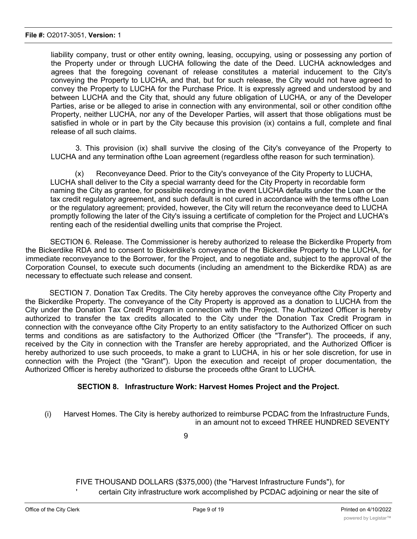liability company, trust or other entity owning, leasing, occupying, using or possessing any portion of the Property under or through LUCHA following the date of the Deed. LUCHA acknowledges and agrees that the foregoing covenant of release constitutes a material inducement to the City's conveying the Property to LUCHA, and that, but for such release, the City would not have agreed to convey the Property to LUCHA for the Purchase Price. It is expressly agreed and understood by and between LUCHA and the City that, should any future obligation of LUCHA, or any of the Developer Parties, arise or be alleged to arise in connection with any environmental, soil or other condition ofthe Property, neither LUCHA, nor any of the Developer Parties, will assert that those obligations must be satisfied in whole or in part by the City because this provision (ix) contains a full, complete and final release of all such claims.

3. This provision (ix) shall survive the closing of the City's conveyance of the Property to LUCHA and any termination ofthe Loan agreement (regardless ofthe reason for such termination).

(x) Reconveyance Deed. Prior to the City's conveyance of the City Property to LUCHA, LUCHA shall deliver to the City a special warranty deed for the City Property in recordable form naming the City as grantee, for possible recording in the event LUCHA defaults under the Loan or the tax credit regulatory agreement, and such default is not cured in accordance with the terms ofthe Loan or the regulatory agreement; provided, however, the City will return the reconveyance deed to LUCHA promptly following the later of the City's issuing a certificate of completion for the Project and LUCHA's renting each of the residential dwelling units that comprise the Project.

SECTION 6. Release. The Commissioner is hereby authorized to release the Bickerdike Property from the Bickerdike RDA and to consent to Bickerdike's conveyance of the Bickerdike Property to the LUCHA, for immediate reconveyance to the Borrower, for the Project, and to negotiate and, subject to the approval of the Corporation Counsel, to execute such documents (including an amendment to the Bickerdike RDA) as are necessary to effectuate such release and consent.

SECTION 7. Donation Tax Credits. The City hereby approves the conveyance ofthe City Property and the Bickerdike Property. The conveyance of the City Property is approved as a donation to LUCHA from the City under the Donation Tax Credit Program in connection with the Project. The Authorized Officer is hereby authorized to transfer the tax credits allocated to the City under the Donation Tax Credit Program in connection with the conveyance ofthe City Property to an entity satisfactory to the Authorized Officer on such terms and conditions as are satisfactory to the Authorized Officer (the "Transfer"). The proceeds, if any, received by the City in connection with the Transfer are hereby appropriated, and the Authorized Officer is hereby authorized to use such proceeds, to make a grant to LUCHA, in his or her sole discretion, for use in connection with the Project (the "Grant"). Upon the execution and receipt of proper documentation, the Authorized Officer is hereby authorized to disburse the proceeds ofthe Grant to LUCHA.

#### **SECTION 8. Infrastructure Work: Harvest Homes Project and the Project.**

(i) Harvest Homes. The City is hereby authorized to reimburse PCDAC from the Infrastructure Funds, in an amount not to exceed THREE HUNDRED SEVENTY

9

FIVE THOUSAND DOLLARS (\$375,000) (the "Harvest Infrastructure Funds"), for certain City infrastructure work accomplished by PCDAC adjoining or near the site of

the Harvest Homes  $\mathcal{L}_{\text{max}}$  is generally described in Exhibit E to this generalization in Exhibit E to this general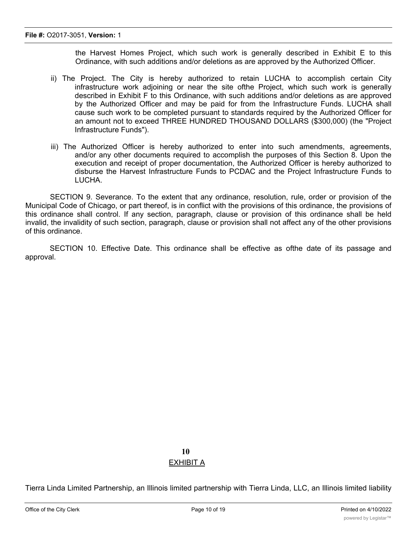the Harvest Homes Project, which such work is generally described in Exhibit E to this Ordinance, with such additions and/or deletions as are approved by the Authorized Officer.

- ii) The Project. The City is hereby authorized to retain LUCHA to accomplish certain City infrastructure work adjoining or near the site ofthe Project, which such work is generally described in Exhibit F to this Ordinance, with such additions and/or deletions as are approved by the Authorized Officer and may be paid for from the Infrastructure Funds. LUCHA shall cause such work to be completed pursuant to standards required by the Authorized Officer for an amount not to exceed THREE HUNDRED THOUSAND DOLLARS (\$300,000) (the "Project Infrastructure Funds").
- iii) The Authorized Officer is hereby authorized to enter into such amendments, agreements, and/or any other documents required to accomplish the purposes of this Section 8. Upon the execution and receipt of proper documentation, the Authorized Officer is hereby authorized to disburse the Harvest Infrastructure Funds to PCDAC and the Project Infrastructure Funds to LUCHA.

SECTION 9. Severance. To the extent that any ordinance, resolution, rule, order or provision of the Municipal Code of Chicago, or part thereof, is in conflict with the provisions of this ordinance, the provisions of this ordinance shall control. If any section, paragraph, clause or provision of this ordinance shall be held invalid, the invalidity of such section, paragraph, clause or provision shall not affect any of the other provisions of this ordinance.

SECTION 10. Effective Date. This ordinance shall be effective as ofthe date of its passage and approval.

# **10** EXHIBIT A

Tierra Linda Limited Partnership, an Illinois limited partnership with Tierra Linda, LLC, an Illinois limited liability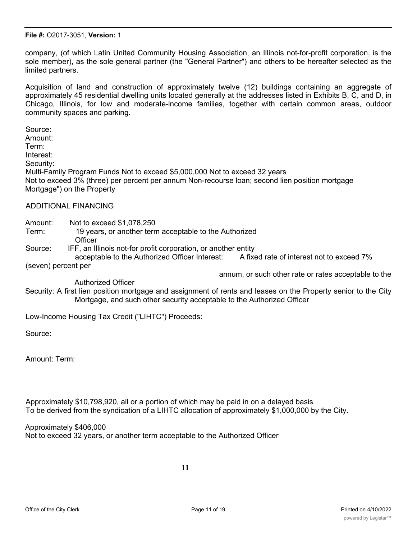company, (of which Latin United Community Housing Association, an Illinois not-for-profit corporation, is the sole member), as the sole general partner (the "General Partner") and others to be hereafter selected as the limited partners.

Acquisition of land and construction of approximately twelve (12) buildings containing an aggregate of approximately 45 residential dwelling units located generally at the addresses listed in Exhibits B, C, and D, in Chicago, Illinois, for low and moderate-income families, together with certain common areas, outdoor community spaces and parking.

Source: Amount: Term: Interest: Security: Multi-Family Program Funds Not to exceed \$5,000,000 Not to exceed 32 years Not to exceed 3% (three) per percent per annum Non-recourse loan; second lien position mortgage Mortgage") on the Property

### ADDITIONAL FINANCING

Amount: Not to exceed \$1,078,250

- Term: 19 years, or another term acceptable to the Authorized **Officer**
- Source: IFF, an Illinois not-for profit corporation, or another entity

acceptable to the Authorized Officer Interest: A fixed rate of interest not to exceed 7% (seven) percent per

annum, or such other rate or rates acceptable to the

Authorized Officer

Security: A first lien position mortgage and assignment of rents and leases on the Property senior to the City Mortgage, and such other security acceptable to the Authorized Officer

Low-Income Housing Tax Credit ("LIHTC") Proceeds:

Source:

Amount: Term:

Approximately \$10,798,920, all or a portion of which may be paid in on a delayed basis To be derived from the syndication of a LIHTC allocation of approximately \$1,000,000 by the City.

Approximately \$406,000 Not to exceed 32 years, or another term acceptable to the Authorized Officer

**11**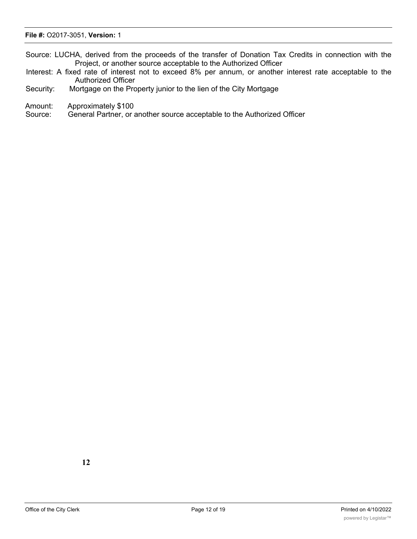#### **File #:** O2017-3051, **Version:** 1

Source: LUCHA, derived from the proceeds of the transfer of Donation Tax Credits in connection with the Project, or another source acceptable to the Authorized Officer

- Interest: A fixed rate of interest not to exceed 8% per annum, or another interest rate acceptable to the Authorized Officer
- Security: Mortgage on the Property junior to the lien of the City Mortgage
- Amount: Approximately \$100

Source: General Partner, or another source acceptable to the Authorized Officer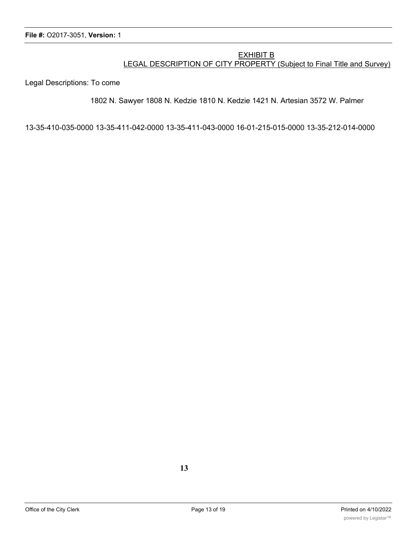### EXHIBIT B LEGAL DESCRIPTION OF CITY PROPERTY (Subject to Final Title and Survey)

Legal Descriptions: To come

#### 1802 N. Sawyer 1808 N. Kedzie 1810 N. Kedzie 1421 N. Artesian 3572 W. Palmer

13-35-410-035-0000 13-35-411-042-0000 13-35-411-043-0000 16-01-215-015-0000 13-35-212-014-0000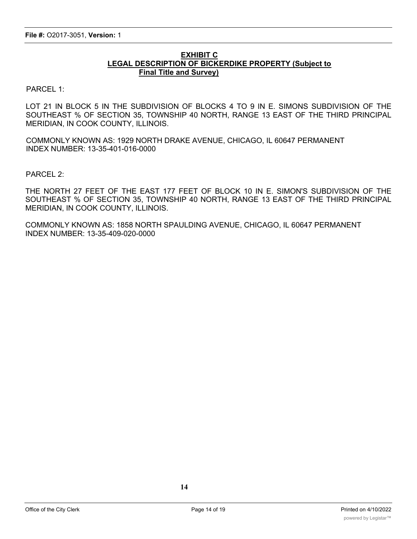### **EXHIBIT C LEGAL DESCRIPTION OF BICKERDIKE PROPERTY (Subject to Final Title and Survey)**

PARCEL 1:

LOT 21 IN BLOCK 5 IN THE SUBDIVISION OF BLOCKS 4 TO 9 IN E. SIMONS SUBDIVISION OF THE SOUTHEAST % OF SECTION 35, TOWNSHIP 40 NORTH, RANGE 13 EAST OF THE THIRD PRINCIPAL MERIDIAN, IN COOK COUNTY, ILLINOIS.

COMMONLY KNOWN AS: 1929 NORTH DRAKE AVENUE, CHICAGO, IL 60647 PERMANENT INDEX NUMBER: 13-35-401-016-0000

PARCEL 2:

THE NORTH 27 FEET OF THE EAST 177 FEET OF BLOCK 10 IN E. SIMON'S SUBDIVISION OF THE SOUTHEAST % OF SECTION 35, TOWNSHIP 40 NORTH, RANGE 13 EAST OF THE THIRD PRINCIPAL MERIDIAN, IN COOK COUNTY, ILLINOIS.

COMMONLY KNOWN AS: 1858 NORTH SPAULDING AVENUE, CHICAGO, IL 60647 PERMANENT INDEX NUMBER: 13-35-409-020-0000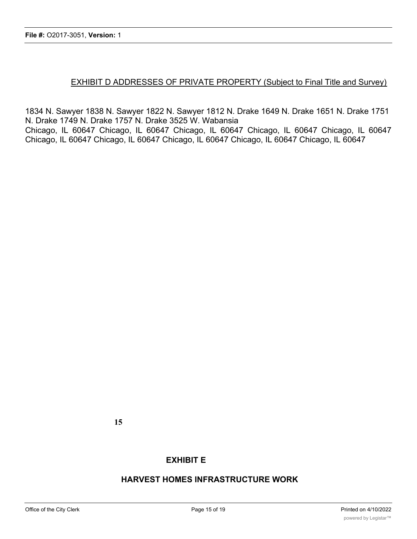# EXHIBIT D ADDRESSES OF PRIVATE PROPERTY (Subject to Final Title and Survey)

1834 N. Sawyer 1838 N. Sawyer 1822 N. Sawyer 1812 N. Drake 1649 N. Drake 1651 N. Drake 1751 N. Drake 1749 N. Drake 1757 N. Drake 3525 W. Wabansia Chicago, IL 60647 Chicago, IL 60647 Chicago, IL 60647 Chicago, IL 60647 Chicago, IL 60647 Chicago, IL 60647 Chicago, IL 60647 Chicago, IL 60647 Chicago, IL 60647 Chicago, IL 60647

**15**

# **EXHIBIT E**

# **HARVEST HOMES INFRASTRUCTURE WORK**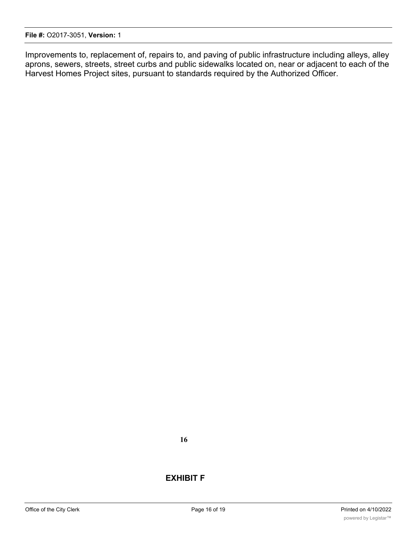Improvements to, replacement of, repairs to, and paving of public infrastructure including alleys, alley aprons, sewers, streets, street curbs and public sidewalks located on, near or adjacent to each of the Harvest Homes Project sites, pursuant to standards required by the Authorized Officer.

# **EXHIBIT F**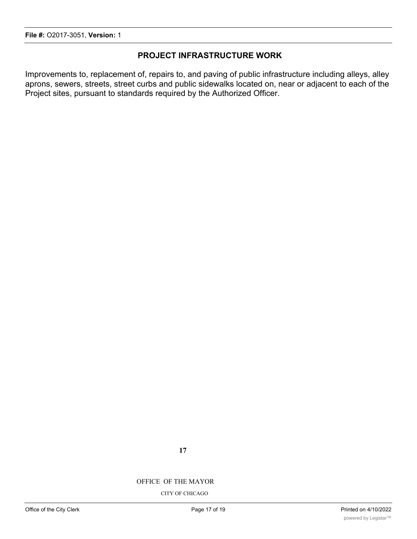# **PROJECT INFRASTRUCTURE WORK**

Improvements to, replacement of, repairs to, and paving of public infrastructure including alleys, alley aprons, sewers, streets, street curbs and public sidewalks located on, near or adjacent to each of the Project sites, pursuant to standards required by the Authorized Officer.

OFFICE OF THE MAYOR

CITY OF CHICAGO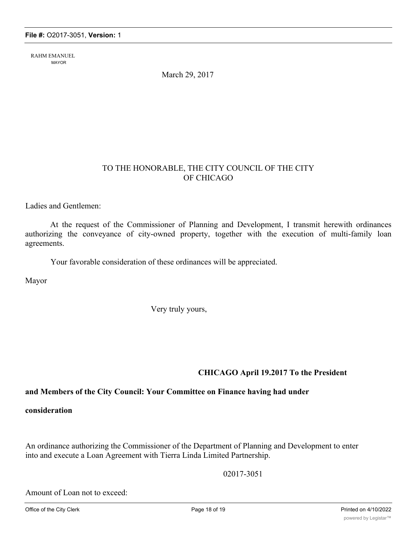RAHM EMANUEL MAYOR

March 29, 2017

# TO THE HONORABLE, THE CITY COUNCIL OF THE CITY OF CHICAGO

Ladies and Gentlemen:

At the request of the Commissioner of Planning and Development, I transmit herewith ordinances authorizing the conveyance of city-owned property, together with the execution of multi-family loan agreements.

Your favorable consideration of these ordinances will be appreciated.

Mayor

Very truly yours,

# **CHICAGO April 19.2017 To the President**

# **and Members of the City Council: Your Committee on Finance having had under**

### **consideration**

An ordinance authorizing the Commissioner of the Department of Planning and Development to enter into and execute a Loan Agreement with Tierra Linda Limited Partnership.

02017-3051

Amount of Loan not to exceed: